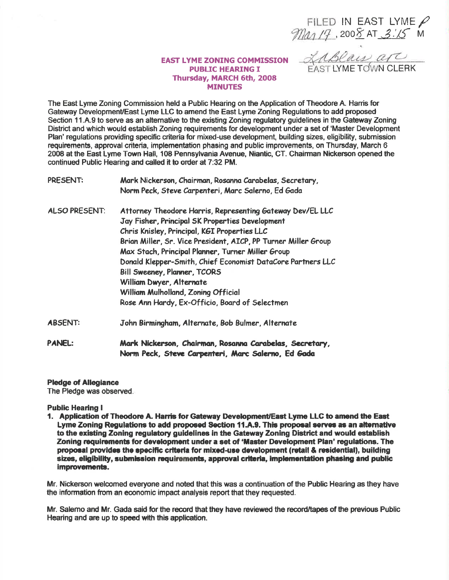FILED IN EAST LYME  $\beta$ <br>Ma<sub>1</sub>/7, 2008 AT 3.15 M

<u>ZABRALD are</u>

## **EAST LYME ZONING COMMISSION PUBLIC HEARING I** Thursday, MARCH 6th, 2008 **MINUTES**

The East Lyme Zoning Commission held a Public Hearing on the Application of Theodore A. Harris for Gateway Development/East Lyme LLC to amend the East Lyme Zoning Regulations to add proposed Section 11.A.9 to serve as an alternative to the existing Zoning regulatory guidelines in the Gateway Zoning District and which would establish Zoning requirements for development under a set of 'Master Development Plan' regulations providing specific criteria for mixed-use development, building sizes, eligibility, submission requirements, approval criteria, implementation phasing and public improvements, on Thursday, March 6 2008 at the East Lyme Town Hall, 108 Pennsylvania Avenue, Niantic, CT. Chairman Nickerson opened the continued Public Hearing and called it to order at 7:32 PM.

| <b>PRESENT:</b>      | Mark Nickerson, Chairman, Rosanna Carabelas, Secretary,<br>Norm Peck, Steve Carpenteri, Marc Salerno, Ed Gada                                                                                                                                                                                                                                                                                                                                                                                           |
|----------------------|---------------------------------------------------------------------------------------------------------------------------------------------------------------------------------------------------------------------------------------------------------------------------------------------------------------------------------------------------------------------------------------------------------------------------------------------------------------------------------------------------------|
| <b>ALSO PRESENT:</b> | Attorney Theodore Harris, Representing Gateway Dev/EL LLC<br>Jay Fisher, Principal SK Properties Development<br>Chris Knisley, Principal, KGI Properties LLC<br>Brian Miller, Sr. Vice President, AICP, PP Turner Miller Group<br>Max Stach, Principal Planner, Turner Miller Group<br>Donald Klepper-Smith, Chief Economist DataCore Partners LLC<br>Bill Sweeney, Planner, TCORS<br>William Dwyer, Alternate<br>William Mulholland, Zoning Official<br>Rose Ann Hardy, Ex-Officio, Board of Selectmen |
| <b>ABSENT:</b>       | John Birmingham, Alternate, Bob Bulmer, Alternate                                                                                                                                                                                                                                                                                                                                                                                                                                                       |
| <b>PANEL:</b>        | Mark Nickerson, Chairman, Rosanna Carabelas, Secretary,<br>Norm Peck, Steve Carpenteri, Marc Salerno, Ed Gada                                                                                                                                                                                                                                                                                                                                                                                           |

**Pledge of Allegiance** 

The Pledge was observed.

**Public Hearing I** 

1. Application of Theodore A. Harris for Gateway Development/East Lyme LLC to amend the East Lyme Zoning Regulations to add proposed Section 11.A.9. This proposal serves as an alternative to the existing Zoning regulatory guidelines in the Gateway Zoning District and would establish Zoning requirements for development under a set of 'Master Development Plan' regulations. The proposal provides the specific criteria for mixed-use development (retail & residential), building sizes, eligibility, submission requirements, approval criteria, implementation phasing and public improvements.

Mr. Nickerson welcomed everyone and noted that this was a continuation of the Public Hearing as they have the information from an economic impact analysis report that they requested.

Mr. Salerno and Mr. Gada said for the record that they have reviewed the record/tapes of the previous Public Hearing and are up to speed with this application.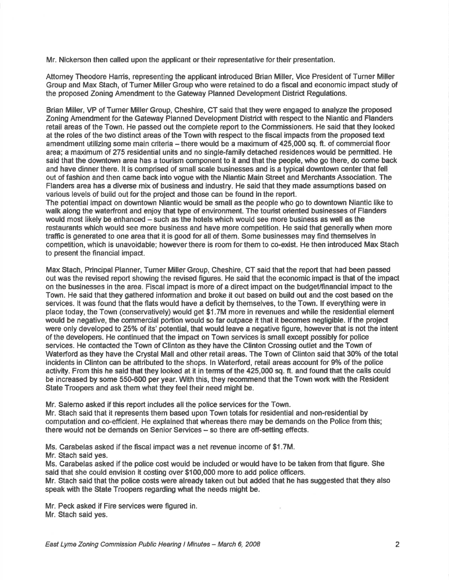Mr. Nickerson then called upon the applicant or their representative for their presentation.

Attomey Theodore Harris, representing the applicant introduced Brian Miller, Vice President of Turner Miller Group and Max Stach, of Tumer Miller Group who were retained to do a fiscal and economic impac't study of the proposed Zoning Amendment to the Gateway Planned Development Distrid Regulations.

Brian Miller, VP of Tumer Miller Group, Cheshire, CT said that they were engaged to analyze the proposed Zoning Amendment forthe Gateway Planned Development Disfrid with respect to the Niantic and Flanders retail areas of the Town. He passed out the complete report to the Commissioners. He said that they looked at the roles of the two distinct areas of the Town with respec't to the fiscal impads from lhe proposed text amendment utilizing some main criteria - there would be a maximum of 425,000 sq. ft. of commercial floor area; a maximum of 275 residential units and no single-family detached residences would be permitted. He said that the downtown area has a tourism component to it and that the people, who go there, do come back and have dinner there, lt is compfised of small scale businesses and is a typical downtown center that fell out of fashion and then came back into vogue with the Nlantic Main Street and Merchants Assoclation. The Flanders area has a diverse mix of business and industry. He said that they made assumptions based on various levels of build out for the project and those can be found in the report.

The potential impact on downtown Niantic would be small as the people who go to downtown Niantic like to walk along the waterfront and enjoy that type of environment. The tourist oriented businesses of Flanders would most likely be enhanced – such as the hotels which would see more business as well as the restaurants which would see more business and have more competition. He said that generally when more traffic is generated to one area that it is good for all of them. Some businesses may find themselves in competition, which is unavoidable; howeverthere is room forthem to co-exist. He then introduced Max Staoh to present the financial impaci.

Max Stach, Principal Planner, Turner Miller Group, Cheshire, CT said that the report that had been passed out was the revised report showing the revised figures. He said that the economic impact is thst of the impact on the businesses in the area. Fiscal impact is more of a direct impact on the budget/financial impact to the Town. He said that they gathered information and broke it out based on build out and the cost based on the services. lt was found that the flats would have a deficit by themselves, to the Town. lf everything were in place today, the Town (conservatively) would get \$1.7M more in revenues and while the residential element would be negative, the commercial portion would so far outpace it that it becomes negligible. lf the project were only developed to 25% of its' potential, that would leave a negative figure, however that is not the intent of the developers. He continued that the impact on Town services is small except possibly for police services. He contacted the Town of Clinton as they have the Clinton Crossing outlet and the Town of Waterford as they have the Crystal Mall and other retail areas. The Town of Clinton said that 30% of the total incidents in Clinton can be attributed to the shops. In Waterford, retail areas account for 9% of the police activity. From this he said that they looked at it in terms of the 425,000 sq. ft. and found that the calls could be increased by some 550-600 per year. With this, they recommend that the Town work with the Resident State Troopers and ask them what they feel their need might be.

Mr. Salerno asked if this report includes all the police services for the Town.

Mr. Stach said that it represents them based upon Town totals for residential and non-residential by computation and co-efficient. He explained that whereas there may be demands on the Police from this; there would not be demands on Senior Services - so there are off-setting effects.

Ms. Carabelas asked if the fiscal impact was a net revenue income of \$1.7M.

Mr. Stach sald yes.

Ms. Carabelas asked if the police cost would be included or would have to be taken from that figure. She said that she could envision it costing over \$100,000 more to add police officers.

Mr. Stach said that the police costs were already taken out but added that he has suggesied that they also speak with the \$tate Troopers regading what the needs might be.

Mr. Peck asked if Fire services were figured in. Mr. Stach said yes.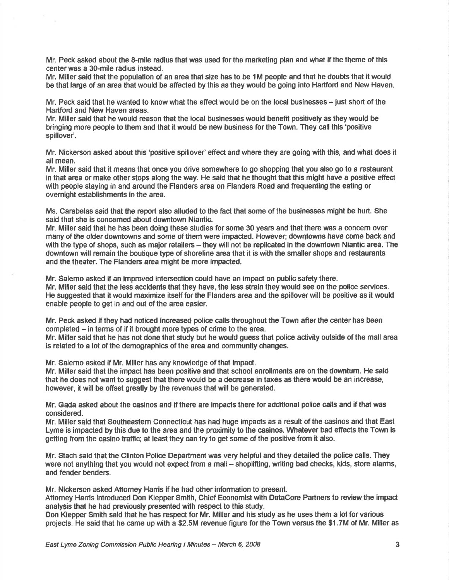Mr. Peck asked about the 8-mile radius that was used forthe marketing plan and what if the theme of this center was a 30-mile radius instead.

Mr. Miller said that the population of an area that size has to be 1M people and that he doubts that it would be that large of an area that would be affected by this as they would be going into Hartford and New Haven.

Mr. Peck said that he wanted to know what the effect would be on the local businesses  $-$  just short of the Hartford and New Haven areas.

Mr. Miller said that he would reason that the local businesses would benefit positively as they would be bringing more people to them and that it would be new business for the Town. They call this 'positive spillover'.

Mr. Nickerson asked about this 'positive spillover' effect and where they are going with this, and what does it allmean.

Mr. Miller said that it means that once you drive somewhere to go shopping that you also go to a restaurant in that area or make other stops along the way. He said that he thought that this might have a positive effed with people staying in and around the Flanders area on Flanders Road and frequenting the eating or ovemight establishments in the area.

Ms. Carabelas said that the report also alluded to the fact that some of the businesses might be hurt. She said that she is concemed about downtown Niantic.

Mr. Miller said that he has been doing these studies for some 30 years and that there was a concem over many of the older downtowns and some of them were impacted. However; downtowns have come back and with the type of shops, such as major retailers – they will not be replicated in the downtown Niantic area. The downtown will remain the boutique type of shoreline area that it is with the smaller shops and restaurants and the theater. The Flanders area might be more impacted.

Mr. Salemo asked if an improved intersection could have an impad on public safety there.

Mr. Miller said that the less accidents that they have, the less strain they would see on the police services. He suggested that it would maximize itself forthe Flanders area and the spilloverwill be positive as it would enable people to get in and out of the area easier.

Mr. Peck dsked if they had noticed lncreased police calls throughout the Town afterthe center has been completed – in terms of if it brought more types of crime to the area.

Mr. Miller said that he has not done that study but he would guess that police activity outside of the mall area is refated to a lot of the demographics of the area and community changes.

Mr. Salemo asked if Mr. Miller has any knowledge of that impac{.

Mr. Miller said that the impact has been positive and that school enrollments are on the downtum. He said that he does not want to suggest that there would be a decrease in taxes as there would be an increase, however, it will be offset greatly by the revenues that will be generated.

Mr. Gada asked about the casinos and if there are impacts there for additional police calls and if that was considered.

Mr. Miller said that Southeastern Connecticut has had huge impacts as a result of the casinos and that East Lyme is impacted by this due to the area and the proximity to the casinos. Whatever bad effects the Town is getting from the casino traffic; at least they can try to get some of the positive from it also.

Mr. Stach said that the Clinton Police Department was very helpful and they deteiled the police calls. They were not anything that you would not expect from a mall - shoplifting, writing bad checks, kids, store alams, and fender benders.

Mr. Nickerson asked Attomey Harris if he had other information to present.

Attomey Hanis introduced Don Klepper Smith, Chief Economisl with DataCore Partners to rcview the impact analygis that he had previously presented with respect to this study.

Don Klepper Smith said that he has respect for Mr. Miller and his study as he uses them a lot forvarious projects. He said that he came up with a \$2.5M revenue figure forthe Town versus the \$1.7M of Mr. Miller as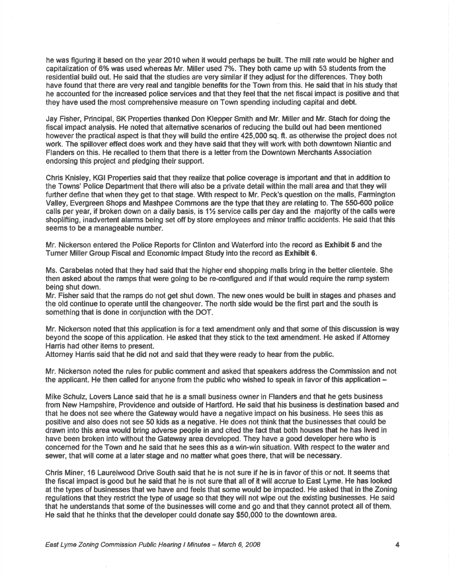he was ftguring it based on the year 2O10 when it would perhaps be built. The mill rate would be higher and capitalization of 6% was used whereas Mr. Miller used 7%. They both came up with 53 students from the residential build out. He said that the studies are very similar if they adjust forthe differences. They both have found that there are very real and tangible benefits forthe Town from this. He said that in his study that he accounted for the increased police services and that they feel that the net fisoal impact is positive and that they have used the most comprehensive measure on Town spending including capitaland debt.

Jay Fisher, Principal, SK Properties thanked Don Klepper Smith and Mr. Miller and Mr. Stach for doing the fiscal impact analysis. He noted that alternative scenarios of reducing the build out had been mentioned however the practical aspect is that they will build the entire 425,000 sq. ft. as otherwise the project does not work. The spillover effect does wort and they have said that they will work with both downtown Niantic and Flanders on this. He recalled to them that there is a letter from the Downtown Merchants Association endorsing this project and pledging their support.

Chris Knisley, KGI Properties said that they realize that police coverage is important and that in additlon to the Towns' Police Department that there will also be a pfivate detail within the mall area and that they will further define that when they get to that stage. With respect to Mr. Peck's question on the malls, Farmington Valley, Evergreen Shops and Mashpee Commons arc the type that they are relating to. The 550-600 police calls per year, if broken down on a daily basis, is  $1\frac{1}{2}$  service calls per day and the majority of the calls were shoplifting, inadvertent alarms being set off by store employees and minor traffic accidents. He said that this seems to be a manageable number.

Mr. Nickerson entered the Police Reports for Clinton and Waterfod into the record as Exhibit 5 and the Tumer Miller Group Fiscal and Economic lmpact Study into the record as Exhibit 6.

Ms. Carabelas noted that they had said that the higher end shopping malls bring in the better clientele. She then asked about the ramps that were going to be re-configured and if that would require the ramp system being shut down.

Mr. Fisher said that the ramps do not get shut down. The new ones would be built in stages and phases and the old continue to operate until the changeover. The north side would be the first part and the south is something that is done in conjunction with the DOT,

Mr. Nickerson noted that this application is for a text amendment only and that some of this discussion is way beyond the scope of this application. He asked that they stick to the text amendment. He asked if Attomey Harris had other items to present.

Attomey Hanis said that he did not and said that they were ready to hear from the public.

Mr. Nickerson noted the rules for public comment and asked that speakers address the Commisslon and not the applicant. He then called for anyone from the public who wished to speak in favor of this application –

Mike Schulz, Lovers Lance said that he is a small business owner in Flanders and that he gets business from New Hampshire, Providence and outside of Hartford, He said that his business is destination based and that he does not see where the Gateway would have a negative impac{ on his business. He sees this as positive and also does not see 50 kids as a negative. He does not think that the businesses that could be drawn into this area would bring adverse people in and cited the fad that both houses that he has lived in have been broken into without the Gateway area developed. They have a good developer here who is concerned for the Town and he said that he sees this as a win-win situation. With respect to the water and sewer, that will come at a later stage and no matter what goes there, that will be necessary.

Chris Miner, 16 Laurelwood Drive South said that he is not sure if he is in favor of this or not. lt seems that the fiscal impact is good but he said that he is not sure that all of it will accrue to East Lyme. He has looked at the types of businesses that we have and feels that some would be impacted. He asked that in the Zoning regulations that they restrict the type of usage so that they will not wipe out the existing businesses. He said that he understands that some of the businesses will come and go and that they cannot proted all of them. He said that he thinks that the developer could donate say \$50,000 to the downtown area.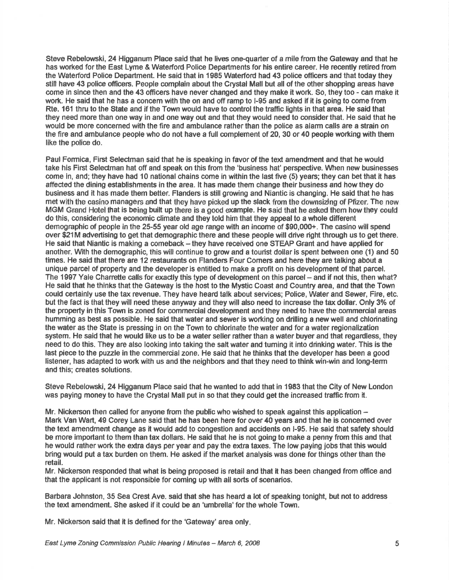Steve Rebelowski, 24 Higganum Place said that he lives one-quarter of a mile from the Gateway and that he has worked for the East Lyme & Waterford Police Departments for his entire career. He recently retired from the Waterford Police Department. He said that in 1985 Waterford had 43 police officers and that today they still have 43 police officers. People complain about the Crystal Mall but all of the other shopping areas have come in since then and the 43 officers have never changed and they make it wort. So, they too - can make it work. He said that he has a ooncem with the on and off ramp to l-95 and asked if it is going to come from Rte. 161 thru to the State and if the Town would have to control the traffic lights in that area. He said that they need more than one way in and one way out and that they would need to considerthat. He said that he would be more concerned with the fire and ambulance rather than the police as alarm calls are a strain on the fire and ambulance people who do not have a full complement of 20, 30 or 40 people working with them like the police do.

Paul Formica, First Selectman said that he is speaking in favor of the text amendment and that he would take hls First Seledman hat off and speak on this from the 'business hat' perspective. lMren new businesses come in, and; they have had 10 national chains come in wlthin the last five (5) years; they can bet that lt has affected the dining establishments in the area. lt has made them change their business and how they do business and it has made them better. Flanders is siillgrowing and Niantic is changing. He said that he has met with the casino managers and that they have picked up the slack from the downsizing of Pfizer. The new MGM Grand Hotel that is being built up there is a good example. He said that he asked them how they could do this, considering the economic climate and they told him that they appealto a whole different demographic of people in the 25-55 year old age range with an income of \$90,000+. The casino will spend over \$21M advertising to get that demographic there and these people will drive right through us to get there. He said that Niantic is making a comeback - they have received one STEAP Grant and have applied for another. With the demographic, this will continue to grow and a tourist dollar is spent between one (1) and 50 times. He said that there are 12 restaurants on Flanders Four Comers and here they are talking about a unique parcel of property and the developer is entitled to make a proflt on his development of that parcel. The 1997 Yale Charrette calls for exactly this type of development on this parcel – and if not this, then what? He said that he thinks that the Gateway is the host to the Mystic Coast and Country area, and that the Town could certainly use the tax revenue. They have heard talk about services; Police, Water and Sewet, Fire, etc. but the fact is that they will need these anyway and they will also need to increase the tax dollar. Only 3% of the property in this Town is zoned for commercial development and they need to have the commercial areas humming as best as possible. He said that water and sewer is working on drilling a new well and chlorinating the water as the State is pressing in on the Town to chlorinate the water and for a water regionalization system. He said that he would like us to be a water seller rather than a water buyer and that regardless, they need to do this. They are also looking into taking the salt water and turning it into drinking water. This is the last piece to the puzzle in the commercial zone. He said that he thinks that the developer has been a good listener, has adapted to work with us and the neighbors and that they need to think win-win and long-term and this; creates solutions.

Steve Rebelowski, 24 Higganum Place said that he wanted to add that in 1983 that the City of New London was paying money to have the Crystal Mall put in so that they could get the increased traffic from it.

Mr. Nickerson then called for anyone from the public who wished to speak against this application  $-$ Mark Van Wart, 49 Corey Lane said that he has been here for over 40 years and that he is concerned over the text amendment change as it would add to congestion and accidents on I-95. He said that safety should be more important to them than tax dollars. He said that he is not going to make a penny from this and that he would rather work the extra days per year and pay the extra taxes. The lour paying jobs that this would bring would put a tax burden on them. He asked if the market analysis was done for things other than the retail.

Mr. Niokerson responded that what is being proposed is retailand that it has been changed from office and that the applicant ls not responsible for coming up with all sorts of scenarios,

Barbara Johnston, 35 Sea Crest Ave. said that she has heard a lot of speaking tonight, but not to address the text amendment. She asked if it could be an 'umbrella'forthe whole Town.

Mr. Nickerson said that it is defined for the 'Gateway' area only.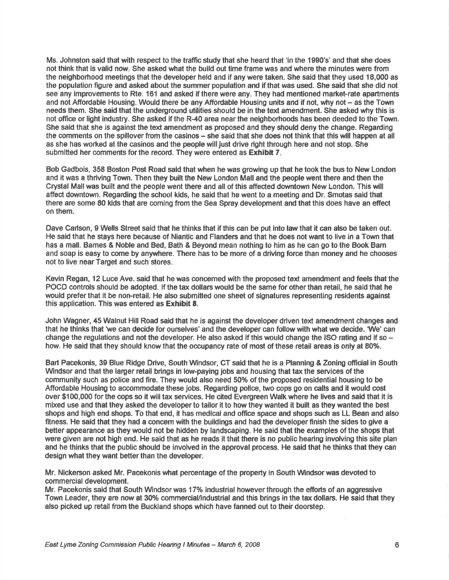Ms. Johnston said that with respect to the traffic study that she heard that 'in the 1990's' and that she does not think that is valid now. She asked what the build out time frame was and where the minutes were from the neighborhood meetings that the developer held and if any were taken. She said that they used 18,000 as the population figure and asked about the summer population and if that was used. She said that she did not see any improvements to Rte. 161 and asked if there were any. They had mentioned market-rate apartments and not Affordable Housing. Would there be any Affordable Housing units and if not, why not - as the Town needs them. She said that the underground utilities should be in the text amendment. She asked why this is not office or light industry. She asked if the R-40 area near the neighborhoods has been deeded to the Town. She said that she is against the text amendment as proposed and they should deny the change. Regarding the comments on the spillover from the casinos - she said that she does not think that this will happen at all as she has worked at the casinos and the people will just drive right through here and not stop. She submitted her comments for the record. They were entered as Exhibit 7.

Bob Gadbois, 358 Boston Post Road said that when he was growing up that he took the bus to New London and it was a thriving Town. Then they built the New London Mall and the people went there and then the Crystal Mallwas built and the people went there and all of this affec{ed downtown New London. This will affect downtown. Regarding the school kids, he said that he went to a meerting and Dr. Smotas said that there are some 80 klds that are coming from the Sea Spray development and that this does have an effect on them.

Dave Garlson, 9 Wells Street sald that he thinks that if this can be put into law that it can also be taken out. He said that he stays here because of Niantic and Flanders and that he does not want to live in a Town that has a mall. Bames & Noble and Bed, Bath & Beyond mean nothing to him as he can go to the Book Bam and soap is easy to come by anywhere. There has to be more of a driving force than money and he chooses not to live near Target and such stores.

Kevin Regan, 12 Luce Ave. said that he was concerned with the proposed text amendment and feels that the POCD controls should be adopted. If the tax dollars would be the same for other than retail, he said that he would prefer that it be non-retail. He also submitted one sheet of signatures representing residents against this application. This was entered as Exhibit 8.

John Wagner, 45 Walnut Hill Road said that he is against the developer drivert text amendment changes and that he thinks that 'we can decide for ourselves' and the developer can follow with what we decide. 'We' can change the regulations and not the developer. He also asked if this would change the ISO rating and if so  $$ how. He said that they should know that the occupancy rate of most of these retail areas is only at 80%.

Bart Pacekonis, 39 Blue Ridge Drive, South Windsor, CT said that he is a Planning & Zoning official in South Windsor and that the larger retail brings in low-paying jobs and housing that tax the services of the community such as police and fire. They would also need 50% of the proposed residential housing to be Affordablo Housing to accommodate these jobs. Regading police, two oops go on calls and it would cost over \$100,000 forthe cops so it will tax services. He cited Everyreen Walk where he lives and said that it is mixed use and that they asked the developer to tallor it to how they wanted it built as they wanted the best shops and high end shops. To that end, it has medical and office space and shops such as LL Bean and also fitness. He said that they had a concem with the buildings and had the developer finish the sides to give a better appearance as they would not be hidden by landscaping. He said that the examples of the shops that were given are not high end. He said that as he reads it that there is no public hearing involving this site plan and he thinks that the public should be involved in the approval process. He said that he thinks that they can design what they want better than the developer.

Mr. Nickerson asked Mr. Pacekonis what percentage of the property in South Windsorwas devoted to commercial development.

Mr. Pacekonis said that South Windsor was 17% industrial however through the efforts of an aggressive Town Leader, they are now at 30% commercial/industrial and this brings in the tax dollars. He said that they also picked up retail from the Buckland shops which have fanned out to their doorstep.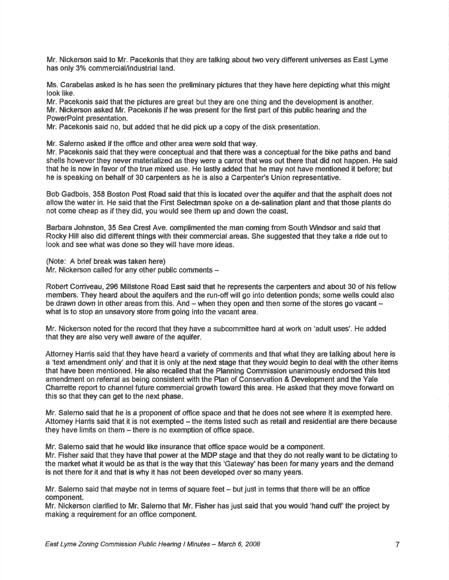Mr. Nickerson said to Mr. Pacekonis that they are talking about two very different universes as East Lyme has only 3% commercial/industrial land.

Ms. Carabelas asked is he has seen the preliminary pictures that they have here depicting what this might look like.

Mr. Pacekonis said that the plctures are great but they are one thing and the development is another. Mr. Nickerson asked Mr. Pacekonis if he was present for the first part of this public hearing and the PowerPoint presentation.

Mr. Pacekonis said no, but added that he did pick up a copy of the disk presentation.

Mr. Salerno asked if the office and other area were sold that way.

Mr. Pacekonis said that they were conceptual and that there was a conceptual for the bike paths and band shells howeverthey never materialized as they were a canot that was out there that did not happen. He said that he is now in favor of the true mixed use. He lastly added that he may not have mentioned it before; but he is speaking on behalf of 30 carpenters as he is also a Carpenter's Union representative.

Bob Gadbois, 358 Boston Post Road said that this is located overthe aquifer and that the asphalt does not allow the water in. He said that the First Selectman spoke on a de-salination plant and that those plants do not come cheap as if they did, you would see them up and down the coast.

Barbara Johnston, 35 Sea Crest Ave. complimented the man coming from South Windsor and said that Rocky Hill also did different things with their commerclal areas. She suggested that they take a ride out to look and see what was done so they will have more ideas.

(Note: A brief breakwas taken here)

Mr. Nickerson called for any other public comments -

Robert Coniveau, 296 Millstone Road East said that he represents the carpenters and about 30 of his fellow members. They heard about the aquifers end the run-off will go into detention ponds; some wells could also be drawn down in other areas from this. And - when they open and then some of the stores go vacant what is to stop an unsavory store from going into the vacant area.

Mr. Nickerson noted forthe record that they have a subcommittee hard at work on 'adult uses'. He added that they are also very well aware of the aquifer.

Attomey Harris said that they have heard a variety of comments and that what they are talking about here is a 'text amendment only' and that it is only at the next stage that they would begin to deal with the other items that have been mentioned. He also recalled that the Planning Commission unanimously endorsed this text amendment on refenal as being consistent with the Plan of Conservation & Development and the Yale Charrette report to channel future commercial growth toward this area. He asked that they move forward on this so that they can get to the next phase.

Mr. Salerno said that he is a proponent of office space and that he does not see where it is exempted here. Attomey Harnis said that it is not exempted  $-$  the items listed such as retail and residential are there because they have limits on them - there is no exemption of office space.

Mr. Salemo said that he would like insurance that office space would be a component.

Mr. Fisher said that they have that power at the MDP stage and that they do not really want to be dictating to the market what it would be as that is the way that this 'Gatewey' has been for many years and the demand is not there for it and that is why it has not been developed over so many years.

Mr. Salemo said that maybe not in terms of square feet  $-$  but just in terms that there will be an office component.

Mr. Nickerson clarified to Mr. Salemo that Mr. Fisher has just said that you would 'hand cuff the project by making a requirement for an offlce component.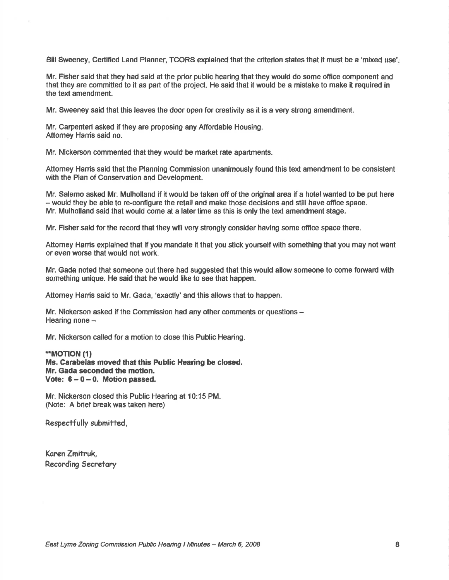Bill Sweeney, Certified Land Planner, TCORS explained that the criterion states that it must be a 'mixed use',

Mr. Fisher said that they had said at the prior public hearing that they would do some office component and that they are committed to it as part of the project. He said that it would be a mistake to make it required in the text amendment.

Mr. Sweeney said that this leaves the door open for creativity as it is a very strong amendment.

Mr. Carpenteri asked if they are proposing any Affordable Housing. Attorney Harris said no.

Mr. Nlckerson commented that they would be market rate apartments.

Attorney Hanis said that the Planning Commission unanimously found this text amendment to be consistent with the Plan of Conservation and Development.

Mr. Salemo asked Mr. Mulholland if it would be taken off of the original area if a hotel wanted to be put here - would they be able to re-configure the retail and make those decisions and still have office space. Mr. Mulholland said that would come at a latertime as this is only the text amendment stage.

Mr. Fisher said for the record that they will very strongly consider having some office space there.

Attomey Hanis explained that if you mandate it that you stick yourself with something that you may not want or even worse that would not wort.

Mr. Gada noted that someone out there had suggested that this would allow someone to come forward with something unique. He said that he would like to see that happen.

Attomey Harris said to Mr. Gada, 'exactly' and this allows that to happen.

Mr. Nickerson asked if the Commission had any other comments or questions -Hearing none  $-$ 

Mr. Nickerson called for a motion to close this Public Hearing.

### \*MOT|ON (l) Ms. Carabelas moved that this Public Hearing be closed. Mr. Gada seconded the motion. Vote:  $6 - 0 - 0$ . Motion passed.

Mr. Nickerson closed this Public Hearing at 10:15 PM. (Note: A brief break was taken here)

Respectfully submitted,

Karen Zmitruk, Recordirg Secretary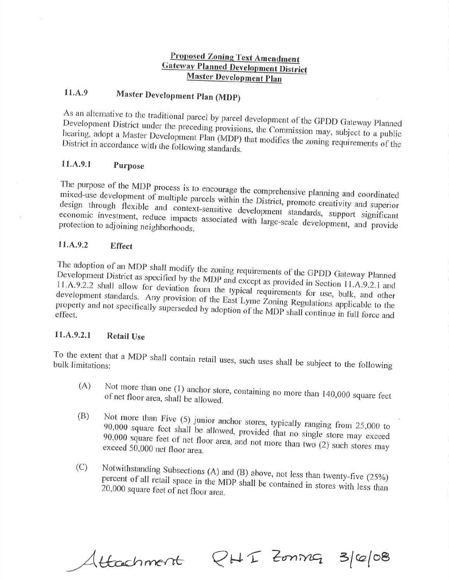# **Proposed Zoning Text Amendment Gateway Planned Development District Master Development Plan**

### 11.A.9 Master Development Plan (MDP)

As an alternative to the traditional parcel by parcel development of the GPDD Gateway Planned Development District under the preceding provisions, the Commission may, subject to a public hearing, adopt a Master Development Plan (MDP) that modifies the zoning requirements of the District in accordance with the following standards.

#### 11.A.9.1 Purpose

The purpose of the MDP process is to encourage the comprehensive planning and coordinated mixed-use development of multiple parcels within the District, promote creativity and superior design through flexible and context-sensitive development standards, support significant economic investment, reduce impacts associated with large-scale development, and provide protection to adjoining neighborhoods.

#### 11.A.9.2 **Effect**

The adoption of an MDP shall modify the zoning requirements of the GPDD Gateway Planned Development District as specified by the MDP and except as provided in Section 11.A.9.2.1 and 11.A.9.2.2 shall allow for deviation from the typical requirements for use, bulk, and other development standards. Any provision of the East Lyme Zoning Regulations applicable to the property and not specifically superseded by adoption of the MDP shall continue in full force and effect.

#### 11.A.9.2.1 **Retail Use**

To the extent that a MDP shall contain retail uses, such uses shall be subject to the following

- Not more than one (1) anchor store, containing no more than 140,000 square feet  $(A)$ of net floor area, shall be allowed.
- Not more than Five (5) junior anchor stores, typically ranging from 25,000 to  $(B)$ 90,000 square feet shall be allowed, provided that no single store may exceed 90,000 square feet of net floor area, and not more than two (2) such stores may exceed 50,000 net floor area.
- Notwithstanding Subsections (A) and (B) above, not less than twenty-five (25%)  $(C)$ percent of all retail space in the MDP shall be contained in stores with less than 20,000 square feet of net floor area.

Attachment

 $QHT$  Zonn $G$  3/6/08